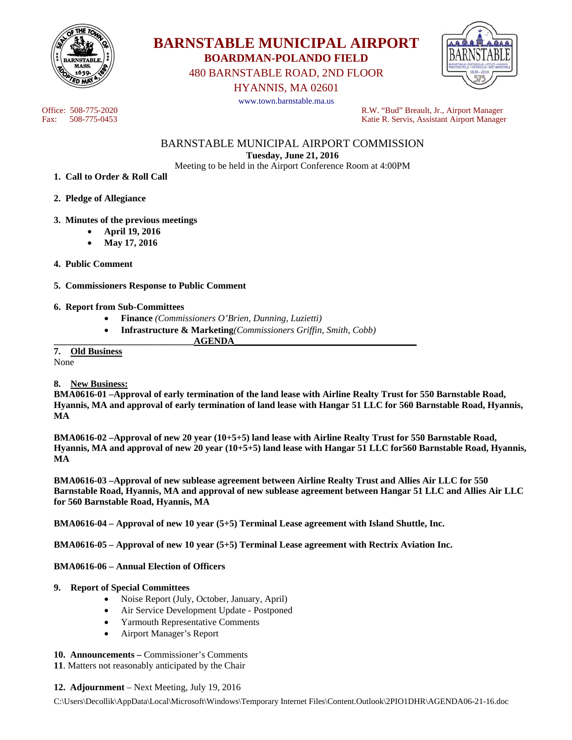



480 BARNSTABLE ROAD, 2ND FLOOR

HYANNIS, MA 02601

www.town.barnstable.ma.us

Office: 508-775-2020<br>
Fax: 508-775-0453<br>
Fax: 508-775-0453<br>
R.W. "Bud" Breault, Jr., Airport Manager Katie R. Servis, Assistant Airport Manager

> BARNSTABLE MUNICIPAL AIRPORT COMMISSION **Tuesday, June 21, 2016**

Meeting to be held in the Airport Conference Room at 4:00PM

**1. Call to Order & Roll Call** 

**2. Pledge of Allegiance** 

## **3. Minutes of the previous meetings**

- **April 19, 2016**
- **May 17, 2016**
- **4. Public Comment**

**5. Commissioners Response to Public Comment** 

### **6. Report from Sub-Committees**

- **Finance** *(Commissioners O'Brien, Dunning, Luzietti)*
- **Infrastructure & Marketing***(Commissioners Griffin, Smith, Cobb)*

**\_\_\_\_\_\_\_\_\_\_\_\_\_\_\_\_\_\_\_\_\_\_\_\_\_\_\_\_\_\_AGENDA\_\_\_\_\_\_\_\_\_\_\_\_\_\_\_\_\_\_\_\_\_\_\_\_\_\_\_\_\_\_\_\_\_\_\_\_\_\_\_** 

**7. Old Business** 

None

## **8. New Business:**

**BMA0616-01 –Approval of early termination of the land lease with Airline Realty Trust for 550 Barnstable Road, Hyannis, MA and approval of early termination of land lease with Hangar 51 LLC for 560 Barnstable Road, Hyannis, MA** 

**BMA0616-02 –Approval of new 20 year (10+5+5) land lease with Airline Realty Trust for 550 Barnstable Road, Hyannis, MA and approval of new 20 year (10+5+5) land lease with Hangar 51 LLC for560 Barnstable Road, Hyannis, MA** 

**BMA0616-03 –Approval of new sublease agreement between Airline Realty Trust and Allies Air LLC for 550 Barnstable Road, Hyannis, MA and approval of new sublease agreement between Hangar 51 LLC and Allies Air LLC for 560 Barnstable Road, Hyannis, MA** 

**BMA0616-04 – Approval of new 10 year (5+5) Terminal Lease agreement with Island Shuttle, Inc.** 

**BMA0616-05 – Approval of new 10 year (5+5) Terminal Lease agreement with Rectrix Aviation Inc.** 

## **BMA0616-06 – Annual Election of Officers**

### **9. Report of Special Committees**

- Noise Report (July, October, January, April)
- Air Service Development Update Postponed
- Yarmouth Representative Comments
- Airport Manager's Report

## **10. Announcements –** Commissioner's Comments

**11**. Matters not reasonably anticipated by the Chair

### **12. Adjournment** – Next Meeting, July 19, 2016

C:\Users\Decollik\AppData\Local\Microsoft\Windows\Temporary Internet Files\Content.Outlook\2PIO1DHR\AGENDA06-21-16.doc